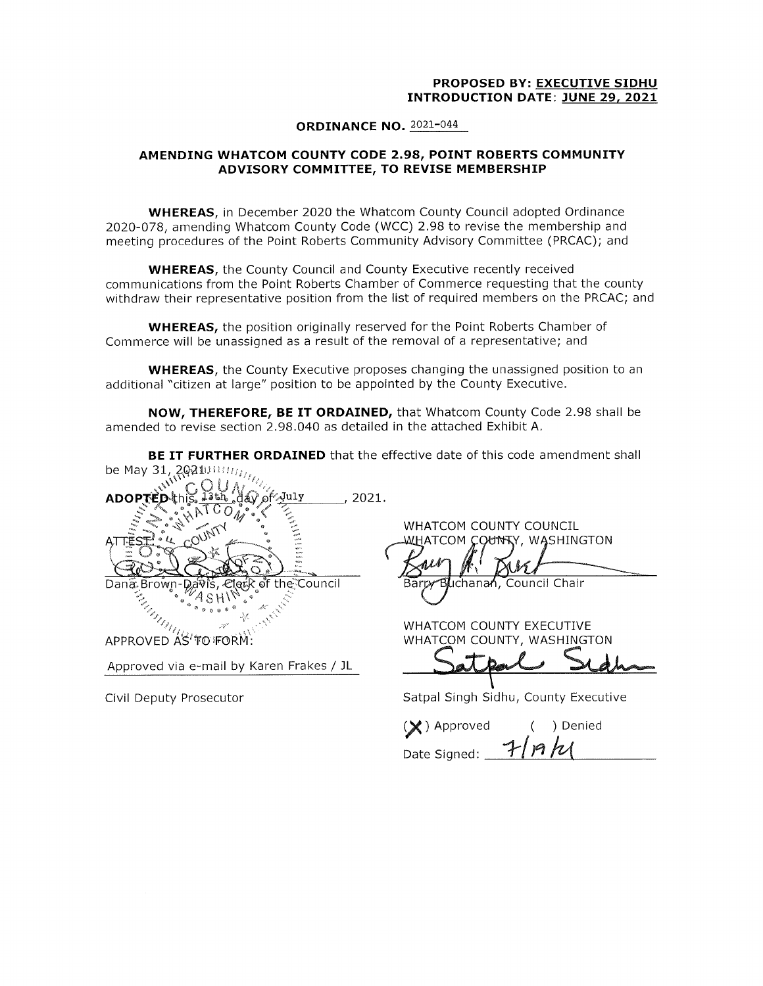### PROPOSED BY: EXECUTIVE SIDHU INTRODUCTION DATE: JUNE 29, 2021

#### ORDINANCE NO. 2021-044

## AMENDING WHATCOM COUNTY CODE 2. 98, POINT ROBERTS COMMUNITY ADVISORY COMMITTEE, TO REVISE MEMBERSHIP

WHEREAS, in December 2020 the Whatcom County Council adopted Ordinance 2020- 078, amending Whatcom County Code ( WCC) 2. 98 to revise the membership and meeting procedures of the Point Roberts Community Advisory Committee ( PRCAC); and

WHEREAS, the County Council and County Executive recently received communications from the Point Roberts Chamber of Commerce requesting that the county withdraw their representative position from the list of required members on the PRCAC; and

WHEREAS, the position originally reserved for the Point Roberts Chamber of Commerce will be unassigned as <sup>a</sup> result of the removal of <sup>a</sup> representative; and

WHEREAS, the County Executive proposes changing the unassigned position to an additional "citizen at large" position to be appointed by the County Executive.

NOW, THEREFORE, BE IT ORDAINED, that Whatcom County Code 2.98 shall be amended to revise section 2. 98. 040 as detailed in the attached Exhibit A.

**BE IT FURTHER ORDAINED** that the effective date of this code amendment shall be May 31, 2021 $m_{H_{LL}}$ 

| ل July<br><b>ADOPT</b><br>噪声<br>k of the Council<br>Dana Brown-Davis, Cler | 2021.<br>WHATCOM COUNTY COUNCIL<br>WASHING<br>COUNTY.<br>COM<br>$\mathcal{M}^{\mathcal{N}}$<br>Barry Blichanan, Council Chair |
|----------------------------------------------------------------------------|-------------------------------------------------------------------------------------------------------------------------------|
|                                                                            | WHATCOM COUNTY EXECUTIV                                                                                                       |
| APPROVED AS'TO FORM:                                                       | WHATCOM COUNTY, WASHING                                                                                                       |

Approved via e- mail by Karen Frakes / JL

TY COUNCIL , WASHINGTON

**TY EXECUTIVE** TY, WASHINGTON

Civil Deputy Prosecutor **Satpal Singh Sidhu, County Executive** Satpal Singh Sidhu, County Executive

(X) Approved ( ) Denied Date Signed: